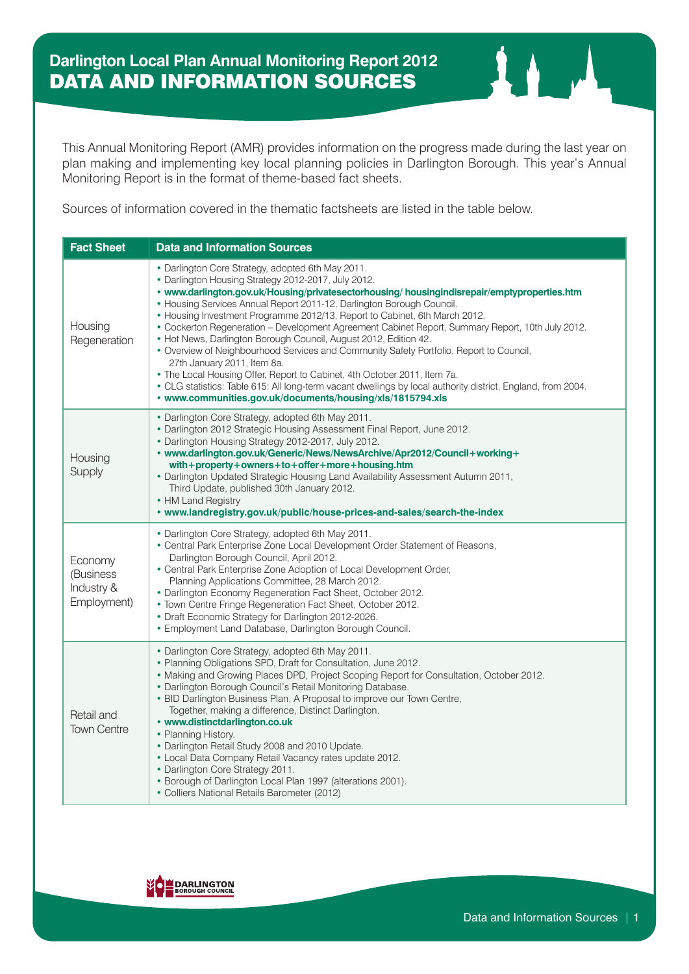This Annual Monitoring Report (AMR) provides information on the progress made during the last year on plan making and implementing key local planning policies in Darlington Borough. This year's Annual Monitoring Report is in the format of theme-based fact sheets.

Sources of information covered in the thematic factsheets are listed in the table below.

| <b>Fact Sheet</b>                                 | <b>Data and Information Sources</b>                                                                                                                                                                                                                                                                                                                                                                                                                                                                                                                                                                                                                                                                                                                                                                                                                                                                                         |
|---------------------------------------------------|-----------------------------------------------------------------------------------------------------------------------------------------------------------------------------------------------------------------------------------------------------------------------------------------------------------------------------------------------------------------------------------------------------------------------------------------------------------------------------------------------------------------------------------------------------------------------------------------------------------------------------------------------------------------------------------------------------------------------------------------------------------------------------------------------------------------------------------------------------------------------------------------------------------------------------|
| Housing<br>Regeneration                           | • Darlington Core Strategy, adopted 6th May 2011.<br>• Darlington Housing Strategy 2012-2017, July 2012.<br>• www.darlington.gov.uk/Housing/privatesectorhousing/ housingindisrepair/emptyproperties.htm<br>• Housing Services Annual Report 2011-12, Darlington Borough Council.<br>• Housing Investment Programme 2012/13, Report to Cabinet, 6th March 2012.<br>. Cockerton Regeneration - Development Agreement Cabinet Report, Summary Report, 10th July 2012.<br>• Hot News, Darlington Borough Council, August 2012, Edition 42.<br>• Overview of Neighbourhood Services and Community Safety Portfolio, Report to Council,<br>27th January 2011, Item 8a.<br>• The Local Housing Offer, Report to Cabinet, 4th October 2011, Item 7a.<br>. CLG statistics: Table 615: All long-term vacant dwellings by local authority district, England, from 2004.<br>• www.communities.gov.uk/documents/housing/xls/1815794.xls |
| Housing<br>Supply                                 | • Darlington Core Strategy, adopted 6th May 2011.<br>. Darlington 2012 Strategic Housing Assessment Final Report, June 2012.<br>• Darlington Housing Strategy 2012-2017, July 2012.<br>• www.darlington.gov.uk/Generic/News/NewsArchive/Apr2012/Council+working+<br>with+property+owners+to+offer+more+housing.htm<br>. Darlington Updated Strategic Housing Land Availability Assessment Autumn 2011,<br>Third Update, published 30th January 2012.<br>• HM Land Registry<br>• www.landregistry.gov.uk/public/house-prices-and-sales/search-the-index                                                                                                                                                                                                                                                                                                                                                                      |
| Economy<br>(Business<br>Industry &<br>Employment) | • Darlington Core Strategy, adopted 6th May 2011.<br>• Central Park Enterprise Zone Local Development Order Statement of Reasons,<br>Darlington Borough Council, April 2012.<br>• Central Park Enterprise Zone Adoption of Local Development Order,<br>Planning Applications Committee, 28 March 2012.<br>• Darlington Economy Regeneration Fact Sheet, October 2012.<br>• Town Centre Fringe Regeneration Fact Sheet, October 2012.<br>• Draft Economic Strategy for Darlington 2012-2026.<br>• Employment Land Database, Darlington Borough Council.                                                                                                                                                                                                                                                                                                                                                                      |
| Retail and<br><b>Town Centre</b>                  | • Darlington Core Strategy, adopted 6th May 2011.<br>• Planning Obligations SPD, Draft for Consultation, June 2012.<br>• Making and Growing Places DPD, Project Scoping Report for Consultation, October 2012.<br>• Darlington Borough Council's Retail Monitoring Database.<br>• BID Darlington Business Plan, A Proposal to improve our Town Centre,<br>Together, making a difference, Distinct Darlington.<br>• www.distinctdarlington.co.uk<br>• Planning History.<br>• Darlington Retail Study 2008 and 2010 Update.<br>• Local Data Company Retail Vacancy rates update 2012.<br>• Darlington Core Strategy 2011.<br>• Borough of Darlington Local Plan 1997 (alterations 2001).<br>• Colliers National Retails Barometer (2012)                                                                                                                                                                                      |